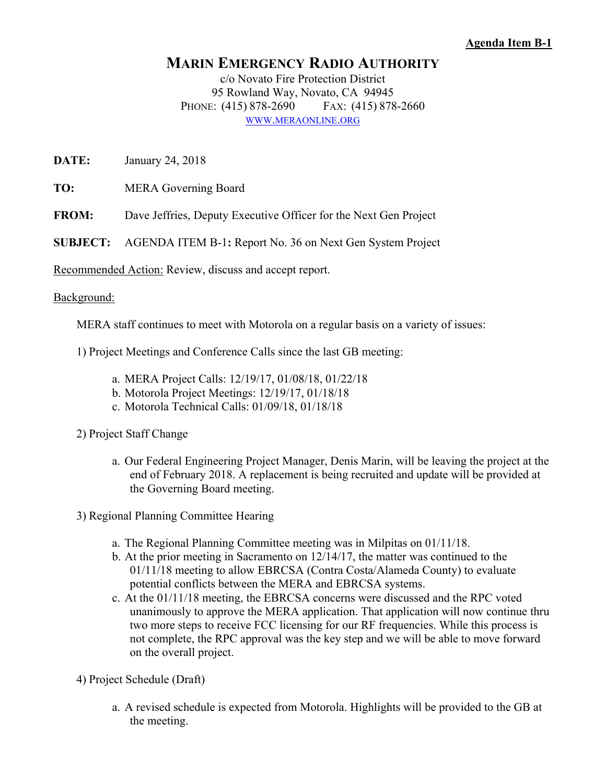## **Agenda Item B-1**

## **MARIN EMERGENCY RADIO AUTHORITY**

c/o Novato Fire Protection District 95 Rowland Way, Novato, CA 94945 PHONE: (415) 878-2690 FAX: (415) 878-2660 WWW.MERAONLINE.ORG

**DATE:** January 24, 2018

**TO:** MERA Governing Board

**FROM:** Dave Jeffries, Deputy Executive Officer for the Next Gen Project

**SUBJECT:** AGENDA ITEM B-1**:** Report No. 36 on Next Gen System Project

Recommended Action: Review, discuss and accept report.

## Background:

MERA staff continues to meet with Motorola on a regular basis on a variety of issues:

1) Project Meetings and Conference Calls since the last GB meeting:

- a. MERA Project Calls: 12/19/17, 01/08/18, 01/22/18
- b. Motorola Project Meetings: 12/19/17, 01/18/18
- c. Motorola Technical Calls: 01/09/18, 01/18/18

2) Project Staff Change

- a. Our Federal Engineering Project Manager, Denis Marin, will be leaving the project at the end of February 2018. A replacement is being recruited and update will be provided at the Governing Board meeting.
- 3) Regional Planning Committee Hearing
	- a. The Regional Planning Committee meeting was in Milpitas on 01/11/18.
	- b. At the prior meeting in Sacramento on 12/14/17, the matter was continued to the 01/11/18 meeting to allow EBRCSA (Contra Costa/Alameda County) to evaluate potential conflicts between the MERA and EBRCSA systems.
	- c. At the 01/11/18 meeting, the EBRCSA concerns were discussed and the RPC voted unanimously to approve the MERA application. That application will now continue thru two more steps to receive FCC licensing for our RF frequencies. While this process is not complete, the RPC approval was the key step and we will be able to move forward on the overall project.

4) Project Schedule (Draft)

a. A revised schedule is expected from Motorola. Highlights will be provided to the GB at the meeting.